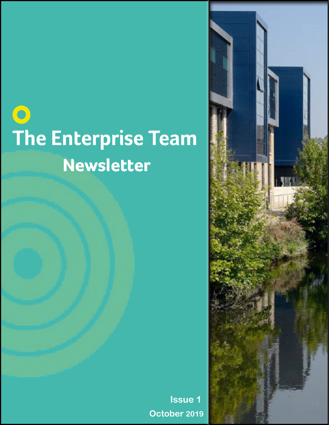# **O**<br>The Enterprise Team<br>Newsletter

**Issue 1 October 2019**

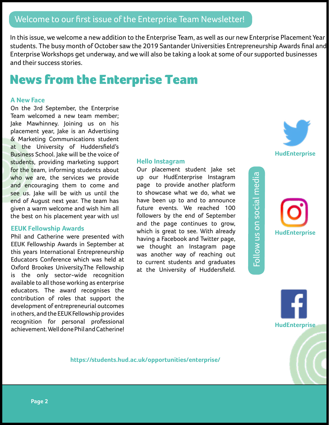In this issue, we welcome a new addition to the Enterprise Team, as well as our new Enterprise Placement Year students. The busy month of October saw the 2019 Santander Universities Entrepreneurship Awards final and Enterprise Workshops get underway, and we will also be taking a look at some of our supported businesses and their success stories.

# News from the Enterprise Team

### **A New Face**

On the 3rd September, the Enterprise Team welcomed a new team member; Jake Mawhinney. Joining us on his placement year, Jake is an Advertising & Marketing Communications student at the University of Huddersfield's Business School. Jake will be the voice of students, providing marketing support for the team, informing students about who we are, the services we provide and encouraging them to come and see us. Jake will be with us until the end of August next year. The team has given a warm welcome and wish him all the best on his placement year with us!

### **EEUK Fellowship Awards**

Phil and Catherine were presented with EEUK Fellowship Awards in September at this years International Entrepreneurship Educators Conference which was held at Oxford Brookes University.The Fellowship is the only sector-wide recognition available to all those working as enterprise educators. The award recognises the contribution of roles that support the development of entrepreneurial outcomes in others, and the EEUK Fellowship provides recognition for personal professional achievement. Well done Phil and Catherine! **Hello Instagram**

Our placement student Jake set up our HudEnterprise Instagram page to provide another platform to showcase what we do, what we have been up to and to announce future events. We reached 100 followers by the end of September and the page continues to grow, which is great to see. With already having a Facebook and Twitter page, we thought an Instagram page was another way of reaching out to current students and graduates at the University of Huddersfield.





Follow us on social media

Follow us on social media



**https://students.hud.ac.uk/opportunities/enterprise/**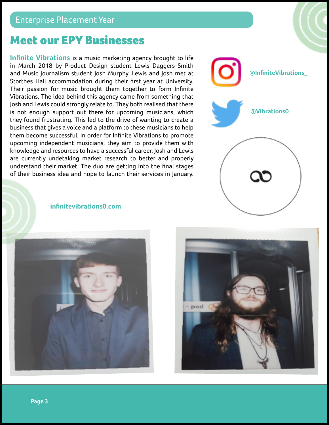## Meet our EPY Businesses

**Infinite Vibrations** is a music marketing agency brought to life in March 2018 by Product Design student Lewis Daggers-Smith and Music Journalism student Josh Murphy. Lewis and Josh met at Storthes Hall accommodation during their first year at University. Their passion for music brought them together to form Infinite Vibrations. The idea behind this agency came from something that Josh and Lewis could strongly relate to. They both realised that there is not enough support out there for upcoming musicians, which they found frustrating. This led to the drive of wanting to create a business that gives a voice and a platform to these musicians to help them become successful. In order for Infinite Vibrations to promote upcoming independent musicians, they aim to provide them with knowledge and resources to have a successful career. Josh and Lewis are currently undetaking market research to better and properly understand their market. The duo are getting into the final stages of their business idea and hope to launch their services in January.



**infinitevibrations0.com**



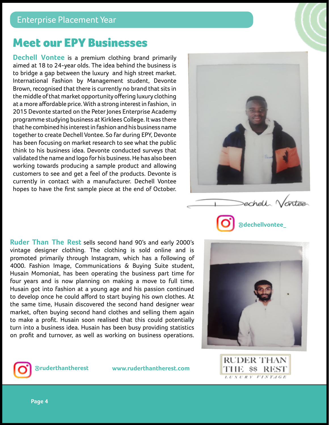# Meet our EPY Businesses

**Dechell Vontee** is a premium clothing brand primarily aimed at 18 to 24-year olds. The idea behind the business is to bridge a gap between the luxury and high street market. International Fashion by Management student, Devonte Brown, recognised that there is currently no brand that sits in the middle of that market opportunity offering luxury clothing at a more affordable price. With a strong interest in fashion, in 2015 Devonte started on the Peter Jones Enterprise Academy programme studying business at Kirklees College. It was there that he combined his interest in fashion and his business name together to create Dechell Vontee. So far during EPY, Devonte has been focusing on market research to see what the public think to his business idea. Devonte conducted surveys that validated the name and logo for his business. He has also been working towards producing a sample product and allowing customers to see and get a feel of the products. Devonte is currently in contact with a manufacturer. Dechell Vontee hopes to have the first sample piece at the end of October.



**Ruder Than The Rest** sells second hand 90's and early 2000's vintage designer clothing. The clothing is sold online and is promoted primarily through Instagram, which has a following of 4000. Fashion Image, Communications & Buying Suite student, Husain Momoniat, has been operating the business part time for four years and is now planning on making a move to full time. Husain got into fashion at a young age and his passion continued to develop once he could afford to start buying his own clothes. At the same time, Husain discovered the second hand designer wear market, often buying second hand clothes and selling them again to make a profit. Husain soon realised that this could potentially turn into a business idea. Husain has been busy providing statistics on profit and turnover, as well as working on business operations.





**@ruderthantherest www.ruderthantherest.com**

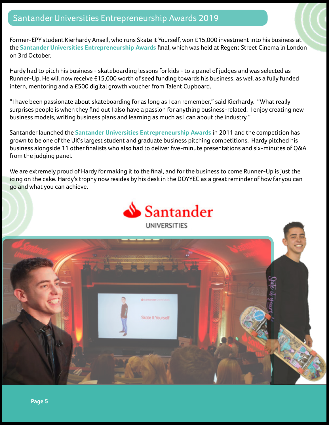### Santander Universities Entrepreneurship Awards 2019

Former-EPY student Kierhardy Ansell, who runs Skate it Yourself, won £15,000 investment into his business at the **Santander Universities Entrepreneurship Awards** final, which was held at Regent Street Cinema in London on 3rd October.

Hardy had to pitch his business - skateboarding lessons for kids - to a panel of judges and was selected as Runner-Up. He will now receive £15,000 worth of seed funding towards his business, as well as a fully funded intern, mentoring and a £500 digital growth voucher from Talent Cupboard.

"I have been passionate about skateboarding for as long as I can remember," said Kierhardy. "What really surprises people is when they find out I also have a passion for anything business-related. I enjoy creating new business models, writing business plans and learning as much as I can about the industry."

Santander launched the **Santander Universities Entrepreneurship Awards** in 2011 and the competition has grown to be one of the UK's largest student and graduate business pitching competitions. Hardy pitched his business alongside 11 other finalists who also had to deliver five-minute presentations and six-minutes of Q&A from the judging panel.

We are extremely proud of Hardy for making it to the final, and for the business to come Runner-Up is just the icing on the cake. Hardy's trophy now resides by his desk in the DOYYEC as a great reminder of how far you can go and what you can achieve.



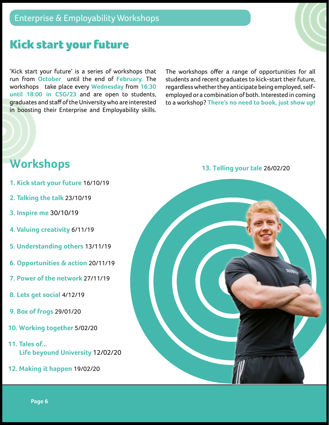# Kick start your future

'Kick start your future' is a series of workshops that run from **October** until the end of **February.** The workshops take place every **Wednesday** from **16:30 until 18:00 in CSG/23** and are open to students, graduates and staff of the University who are interested in boosting their Enterprise and Employability skills. The workshops offer a range of opportunities for all students and recent graduates to kick-start their future, regardless whether they anticipate being employed, selfemployed or a combination of both. Interested in coming to a workshop? **There's no need to book, just show up!**

# **Workshops**

- **1. Kick start your future** 16/10/19
- **2. Talking the talk** 23/10/19
- **3. Inspire me** 30/10/19
- **4. Valuing creativity** 6/11/19
- **5. Understanding others** 13/11/19
- **6. Opportunities & action** 20/11/19
- **7. Power of the network** 27/11/19
- **8. Lets get social** 4/12/19
- **9. Box of frogs** 29/01/20
- **10. Working together** 5/02/20
- **11. Tales of... Life beyound University** 12/02/20
- **12. Making it happen** 19/02/20

### **13. Telling your tale** 26/02/20



**Page 6**